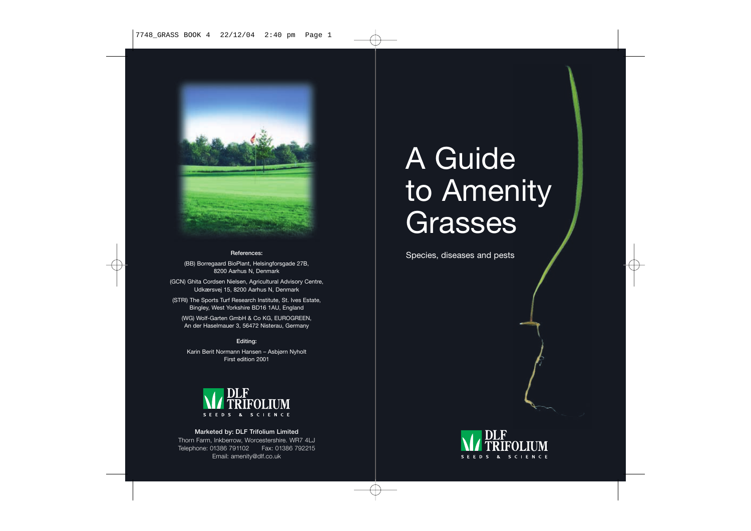

#### **References:**

(BB) Borregaard BioPlant, Helsingforsgade 27B, 8200 Aarhus N, Denmark

(GCN) Ghita Cordsen Nielsen, Agricultural Advisory Centre, Udkærsvej 15, 8200 Aarhus N, Denmark

(STRI) The Sports Turf Research Institute, St. Ives Estate, Bingley, West Yorkshire BD16 1AU, England

(WG) Wolf-Garten GmbH & Co KG, EUROGREEN, An der Haselmauer 3, 56472 Nisterau, Germany

#### **Editing:**

Karin Berit Normann Hansen – Asbjørn Nyholt First edition 2001



**Marketed by: DLF Trifolium Limited** Thorn Farm, Inkberrow, Worcestershire. WR7 4LJ Telephone: 01386 791102 Fax: 01386 792215 Email: amenity@dlf.co.uk

# A Guide to Amenity Grasses

Species, diseases and pests

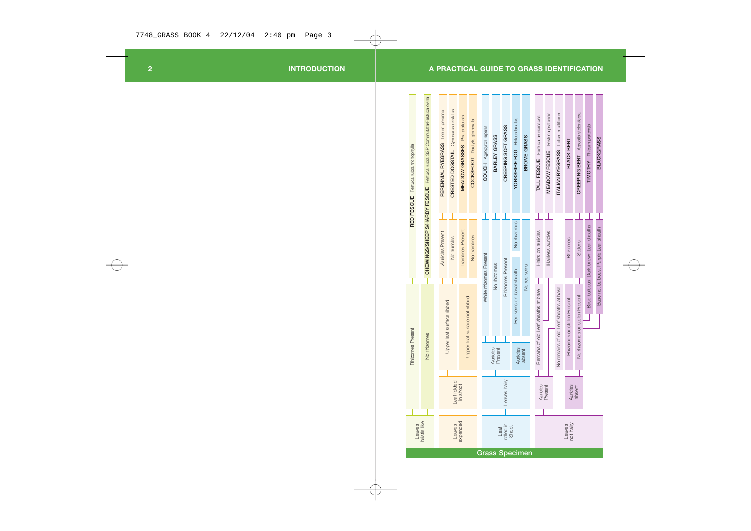|                                       | Α                                                                       | <b>PRACTICAL</b>                  |                                      |                                     |                               | <b>GUIDE TO</b>               |                     |                         |                              |                     | <b>GRASS</b>                        |                                           |                                        |                            | <b>IDENTIFICATION</b>                      |                                       |                                      |
|---------------------------------------|-------------------------------------------------------------------------|-----------------------------------|--------------------------------------|-------------------------------------|-------------------------------|-------------------------------|---------------------|-------------------------|------------------------------|---------------------|-------------------------------------|-------------------------------------------|----------------------------------------|----------------------------|--------------------------------------------|---------------------------------------|--------------------------------------|
| RED FESCUE Festuca rubra trichophylla | CHEWINGS/SHEEP'S/HARDY FESCUE Festuca rubra SSP Commutata/Festuca ovina | PERENNIAL RYEGRASS Lollum perenne | CRESTED DOGSTAIL Oynosurus cristatus | <b>MEADOW GRASSES</b> Poa pratensis | COCKSFOOT Dactylis glomerata  | <b>COUCH</b> Agropyron repens | <b>BARLEY GRASS</b> | CREEPING SOFT GRASS     | YORKSHIRE FOG Holcus lanatus | <b>BROME GRASS</b>  | TALL FESCUE Festuca arundinacea     | Festuca pratensis<br><b>MEADOW FESCUE</b> | TALIAN RYEGRASS Lollum multiflorum     | <b>BLACK BENT</b>          | <b>CREEPING BENT</b> Agrostis stoloniferea | <b>TIMOTHY</b> Phleum pratensis       | <b>BLACKGRASS</b>                    |
|                                       |                                                                         |                                   |                                      |                                     |                               |                               |                     |                         |                              |                     |                                     |                                           |                                        |                            |                                            |                                       |                                      |
|                                       |                                                                         | Auricles Present                  | No auricles                          | <b>Tramlines Present</b>            | No tramlines                  | White rhizomes Present        |                     |                         | - No rhizomes                |                     | Hairs on auricles                   | Hairless auricles                         |                                        | Rhizomes                   | <b>Stolens</b>                             | Base bulbous. Dark brown Leaf sheaths | Base not bulbous. Purple Leaf sheath |
|                                       |                                                                         |                                   |                                      |                                     |                               |                               | <b>Vo</b> rhizomes  | <b>Rhizomes Present</b> |                              | <b>Vo red veins</b> |                                     |                                           |                                        |                            |                                            |                                       |                                      |
|                                       |                                                                         |                                   | Upper leaf surface ribbed            |                                     | Upper leaf surface not ribbed |                               |                     |                         | Red veins on basal sheath    |                     | Remains of old Leaf sheaths at base |                                           | No remains of old Leaf sheaths at base | Rhizomes or stolen Present | No rhizomes or stolen Present              |                                       |                                      |
| Rhizomes Present                      | No mizomes                                                              |                                   |                                      |                                     |                               |                               | Auricles<br>Present |                         | Auricles                     | absent              |                                     |                                           |                                        |                            |                                            |                                       |                                      |
|                                       |                                                                         |                                   |                                      |                                     |                               |                               |                     |                         |                              |                     |                                     |                                           |                                        |                            |                                            |                                       |                                      |
|                                       |                                                                         |                                   | Leaf folded                          | in shoot                            |                               |                               |                     | Leaves hairy            |                              |                     | Auricles                            | Present                                   |                                        | Auricles                   | absent                                     |                                       |                                      |

Leaf rolled in Shoot

**Grass Specimen**

Leaves not hairy

Leaves<br>bristle like

Leaves expanded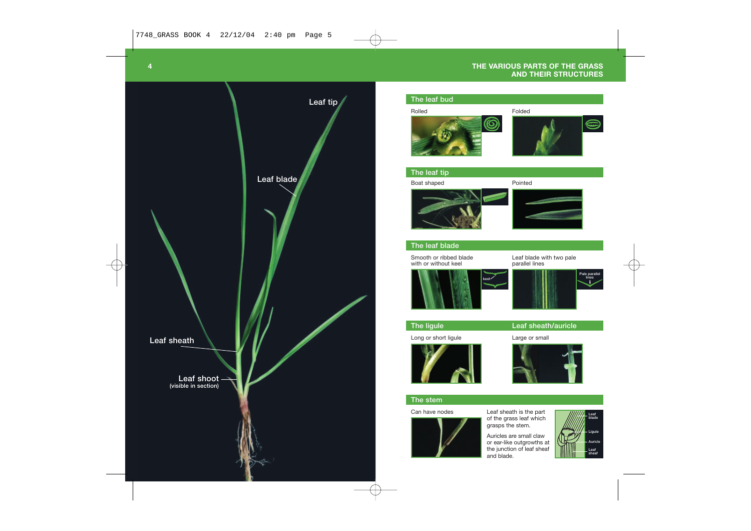

## **The leaf bud**

#### Rolled Folded





#### **The leaf tip**

Boat shaped

Pointed





#### **The leaf blade**

Smooth or ribbed blade with or without keel

**keel** parallel lines



Large or small

Leaf blade with two pale



#### **The ligule Leaf sheath/auricle**

Long or short ligule



#### **The stem**

Can have nodes



Leaf sheath is the part of the grass leaf which grasps the stem.

Auricles are small claw or ear-like outgrowths at the junction of leaf sheaf and blade.

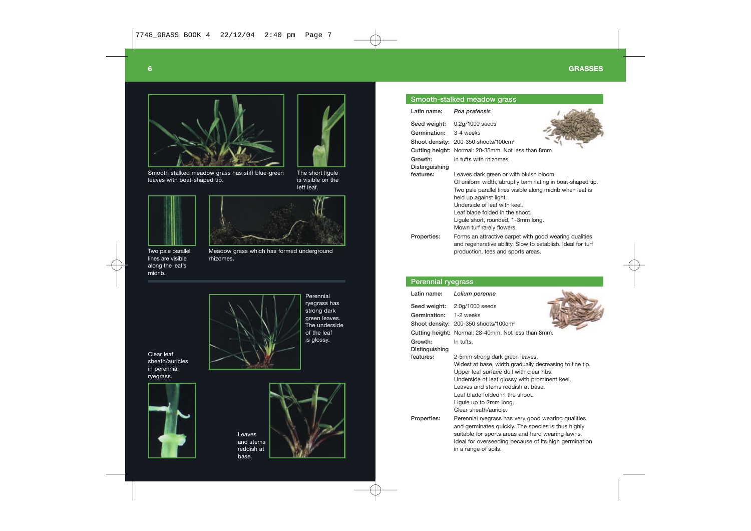



Smooth stalked meadow grass has stiff blue-green leaves with boat-shaped tip.

The short ligule is visible on the left leaf.



Two pale parallel lines are visible along the leaf's midrib.

Meadow grass which has formed underground rhizomes.



Perennial ryegrass has strong dark green leaves. The underside of the leaf is glossy.

Clear leaf sheath/auricles in perennial ryegrass.





Leaves and stems reddish at base.



# **Smooth-stalked meadow grass**

| Latin name:    | Poa pratensis                                                                                                                                               |
|----------------|-------------------------------------------------------------------------------------------------------------------------------------------------------------|
| Seed weight:   | 0.2q/1000 seeds                                                                                                                                             |
| Germination:   | 3-4 weeks                                                                                                                                                   |
|                | Shoot density: 200-350 shoots/100cm <sup>2</sup>                                                                                                            |
|                | Cutting height: Normal: 20-35mm. Not less than 8mm.                                                                                                         |
| Growth:        | In tufts with rhizomes.                                                                                                                                     |
| Distinguishing |                                                                                                                                                             |
| features:      | Leaves dark green or with bluish bloom.                                                                                                                     |
|                | Of uniform width, abruptly terminating in boat-shaped tip.                                                                                                  |
|                | Two pale parallel lines visible along midrib when leaf is                                                                                                   |
|                | held up against light.                                                                                                                                      |
|                | Underside of leaf with keel.                                                                                                                                |
|                | Leaf blade folded in the shoot.                                                                                                                             |
|                | Ligule short, rounded, 1-3mm long.                                                                                                                          |
|                | Mown turf rarely flowers.                                                                                                                                   |
| Properties:    | Forms an attractive carpet with good wearing qualities<br>and regenerative ability. Slow to establish. Ideal for turf<br>production, tees and sports areas. |

## **Perennial ryegrass**

| Latin name:    | Lolium perenne                                                                                                                                                                                                         |
|----------------|------------------------------------------------------------------------------------------------------------------------------------------------------------------------------------------------------------------------|
| Seed weight:   | 2.0g/1000 seeds                                                                                                                                                                                                        |
| Germination:   | 1-2 weeks                                                                                                                                                                                                              |
|                | Shoot density: 200-350 shoots/100cm <sup>2</sup>                                                                                                                                                                       |
|                | Cutting height: Normal: 28-40mm. Not less than 8mm.                                                                                                                                                                    |
| Growth:        | In tufts                                                                                                                                                                                                               |
| Distinguishing |                                                                                                                                                                                                                        |
| features:      | 2-5mm strong dark green leaves.                                                                                                                                                                                        |
|                | Widest at base, width gradually decreasing to fine tip.                                                                                                                                                                |
|                | Upper leaf surface dull with clear ribs.                                                                                                                                                                               |
|                | Underside of leaf glossy with prominent keel.                                                                                                                                                                          |
|                | Leaves and stems reddish at base.                                                                                                                                                                                      |
|                | Leaf blade folded in the shoot                                                                                                                                                                                         |
|                | Ligule up to 2mm long.                                                                                                                                                                                                 |
|                | Clear sheath/auricle.                                                                                                                                                                                                  |
| Properties:    | Perennial ryegrass has very good wearing qualities<br>and germinates quickly. The species is thus highly<br>suitable for sports areas and hard wearing lawns.<br>Ideal for overseeding because of its high germination |
|                | in a range of soils.                                                                                                                                                                                                   |
|                |                                                                                                                                                                                                                        |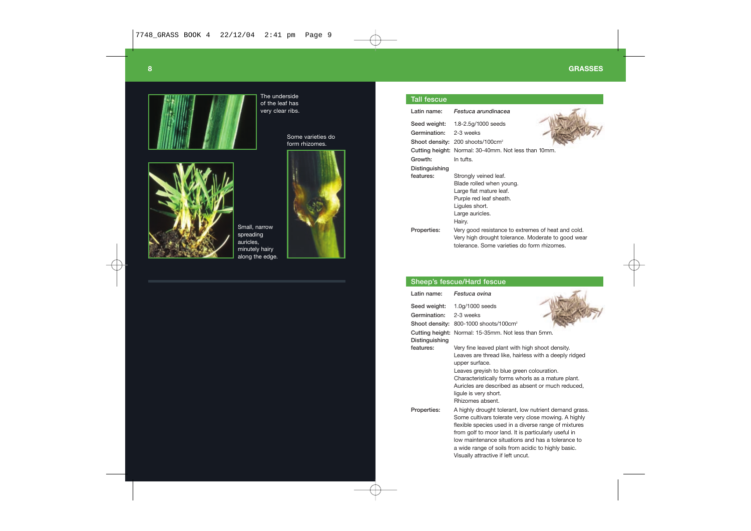



The underside of the leaf has very clear ribs.

> Some varieties do form rhizomes.



## **Tall fescue**

| Latin name:    | Festuca arundinacea                                                                                                                                     |
|----------------|---------------------------------------------------------------------------------------------------------------------------------------------------------|
|                | Seed weight: 1.8-2.5g/1000 seeds                                                                                                                        |
| Germination:   | 2-3 weeks                                                                                                                                               |
|                | Shoot density: 200 shoots/100cm <sup>2</sup>                                                                                                            |
|                | Cutting height: Normal: 30-40mm. Not less than 10mm.                                                                                                    |
| Growth:        | In tufts.                                                                                                                                               |
| Distinguishing |                                                                                                                                                         |
| features:      | Strongly veined leaf.                                                                                                                                   |
|                | Blade rolled when young.                                                                                                                                |
|                | Large flat mature leaf.                                                                                                                                 |
|                | Purple red leaf sheath.                                                                                                                                 |
|                | Liqules short.                                                                                                                                          |
|                | Large auricles.                                                                                                                                         |
|                | Hairy.                                                                                                                                                  |
| Properties:    | Very good resistance to extremes of heat and cold.<br>Very high drought tolerance. Moderate to good wear<br>tolerance. Some varieties do form rhizomes. |

# **Sheep's fescue/Hard fescue**

| Latin name:    | Festuca ovina                                                                                                                                                                                                                                                                                                                                                                 |
|----------------|-------------------------------------------------------------------------------------------------------------------------------------------------------------------------------------------------------------------------------------------------------------------------------------------------------------------------------------------------------------------------------|
| Seed weight:   | 1.0g/1000 seeds                                                                                                                                                                                                                                                                                                                                                               |
| Germination:   | 2-3 weeks                                                                                                                                                                                                                                                                                                                                                                     |
|                | Shoot density: 800-1000 shoots/100cm <sup>2</sup>                                                                                                                                                                                                                                                                                                                             |
| Distinguishing | Cutting height: Normal: 15-35mm. Not less than 5mm.                                                                                                                                                                                                                                                                                                                           |
| features:      | Very fine leaved plant with high shoot density.<br>Leaves are thread like, hairless with a deeply ridged<br>upper surface.<br>Leaves greyish to blue green colouration.<br>Characteristically forms whorls as a mature plant.<br>Auricles are described as absent or much reduced,<br>liqule is very short.<br>Rhizomes absent                                                |
| Properties:    | A highly drought tolerant, low nutrient demand grass.<br>Some cultivars tolerate very close mowing. A highly<br>flexible species used in a diverse range of mixtures<br>from golf to moor land. It is particularly useful in<br>low maintenance situations and has a tolerance to<br>a wide range of soils from acidic to highly basic.<br>Visually attractive if left uncut. |

#### Small, narrow spreading auricles, minutely hairy along the edge.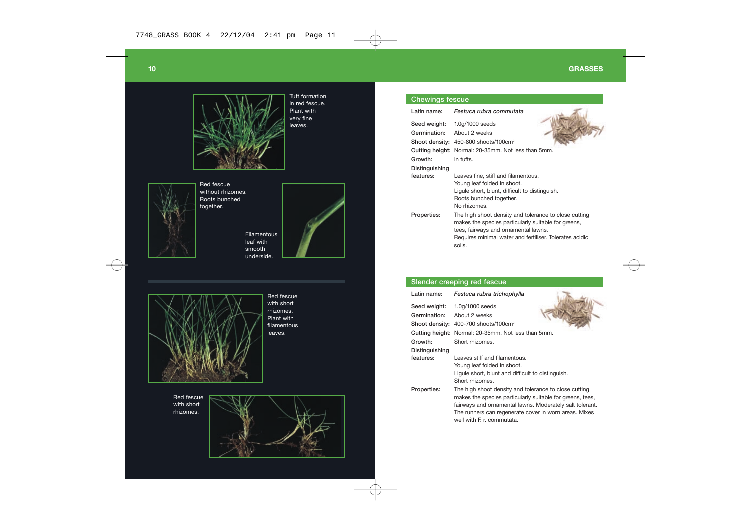

Tuft formation in red fescue. Plant with very fine leaves.



Red fescue without rhizomes. Roots bunched together.



Filamentous leaf with smooth underside.



Red fescue with short rhizomes. Plant with filamentous leaves.

Red fescue with short rhizomes.



## **Chewings fescue**

| Latin name:    | Festuca rubra commutata                                                                                                                                                                                                   |
|----------------|---------------------------------------------------------------------------------------------------------------------------------------------------------------------------------------------------------------------------|
| Seed weight:   | 1.0g/1000 seeds                                                                                                                                                                                                           |
| Germination:   | About 2 weeks                                                                                                                                                                                                             |
|                | Shoot density: 450-800 shoots/100cm <sup>2</sup>                                                                                                                                                                          |
|                | Cutting height: Normal: 20-35mm. Not less than 5mm.                                                                                                                                                                       |
| Growth:        | In tufts.                                                                                                                                                                                                                 |
| Distinguishing |                                                                                                                                                                                                                           |
| features:      | Leaves fine, stiff and filamentous.<br>Young leaf folded in shoot.<br>Liqule short, blunt, difficult to distinguish.<br>Roots bunched together.<br>No rhizomes                                                            |
| Properties:    | The high shoot density and tolerance to close cutting<br>makes the species particularly suitable for greens,<br>tees, fairways and ornamental lawns.<br>Requires minimal water and fertiliser. Tolerates acidic<br>soils. |

#### **Slender creeping red fescue**

| Latin name:    | Festuca rubra trichophylla                                |
|----------------|-----------------------------------------------------------|
| Seed weight:   | 1.0q/1000 seeds                                           |
| Germination:   | About 2 weeks                                             |
|                | Shoot density: 400-700 shoots/100cm <sup>2</sup>          |
|                | Cutting height: Normal: 20-35mm. Not less than 5mm.       |
| Growth:        | Short rhizomes.                                           |
| Distinguishing |                                                           |
| features:      | Leaves stiff and filamentous.                             |
|                | Young leaf folded in shoot.                               |
|                | Liqule short, blunt and difficult to distinguish.         |
|                | Short rhizomes.                                           |
| Properties:    | The high shoot density and tolerance to close cutting     |
|                | makes the species particularly suitable for greens, tees, |
|                | fairways and ornamental lawns. Moderately salt tolerant.  |
|                | The runners can regenerate cover in worn areas. Mixes     |
|                | well with F. r. commutata.                                |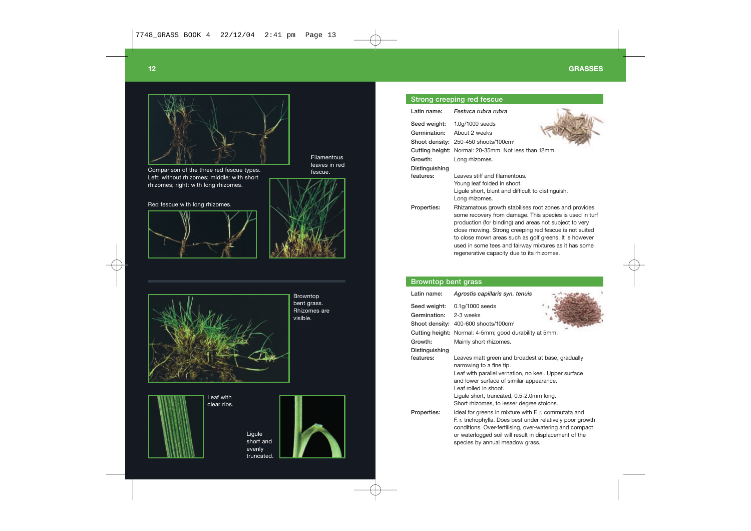

Filamentous leaves in red

Left: without rhizomes; middle: with short rhizomes; right: with long rhizomes.

Red fescue with long rhizomes.







Browntop bent grass. Rhizomes are visible.



Leaf with clear ribs.

Ligule short and evenly truncated.



## **Strong creeping red fescue**

| Latin name:    | Festuca rubra rubra                                                                                                                                                                                                                                                                                                                                                                                   |
|----------------|-------------------------------------------------------------------------------------------------------------------------------------------------------------------------------------------------------------------------------------------------------------------------------------------------------------------------------------------------------------------------------------------------------|
|                | Seed weight: 1.0g/1000 seeds                                                                                                                                                                                                                                                                                                                                                                          |
| Germination:   | About 2 weeks                                                                                                                                                                                                                                                                                                                                                                                         |
|                | Shoot density: 250-450 shoots/100cm <sup>2</sup>                                                                                                                                                                                                                                                                                                                                                      |
|                | Cutting height: Normal: 20-35mm. Not less than 12mm.                                                                                                                                                                                                                                                                                                                                                  |
| Growth:        | Long rhizomes.                                                                                                                                                                                                                                                                                                                                                                                        |
| Distinguishing |                                                                                                                                                                                                                                                                                                                                                                                                       |
| features:      | Leaves stiff and filamentous.<br>Young leaf folded in shoot.                                                                                                                                                                                                                                                                                                                                          |
|                | Ligule short, blunt and difficult to distinguish.<br>Long rhizomes.                                                                                                                                                                                                                                                                                                                                   |
| Properties:    | Rhizamatous growth stabilises root zones and provides<br>some recovery from damage. This species is used in turf<br>production (for binding) and areas not subject to very<br>close mowing. Strong creeping red fescue is not suited<br>to close mown areas such as golf greens. It is however<br>used in some tees and fairway mixtures as it has some<br>regenerative capacity due to its rhizomes. |

# **Browntop bent grass**

| Latin name:    | Agrostis capillaris syn. tenuis                                               |
|----------------|-------------------------------------------------------------------------------|
| Seed weight:   | 0.1q/1000 seeds                                                               |
| Germination:   | 2-3 weeks                                                                     |
| Shoot density: | 400-600 shoots/100cm <sup>2</sup>                                             |
|                | Cutting height: Normal: 4-5mm; good durability at 5mm.                        |
| Growth:        | Mainly short rhizomes.                                                        |
| Distinguishing |                                                                               |
| features:      | Leaves matt green and broadest at base, gradually<br>narrowing to a fine tip. |
|                | Leaf with parallel vernation, no keel. Upper surface                          |
|                | and lower surface of similar appearance.                                      |
|                | Leaf rolled in shoot.                                                         |
|                | Ligule short, truncated, 0.5-2.0mm long.                                      |
|                | Short rhizomes, to lesser degree stolons.                                     |
| Properties:    | Ideal for greens in mixture with F. r. commutata and                          |
|                | F. r. trichophylla. Does best under relatively poor growth                    |
|                | conditions. Over-fertilising, over-watering and compact                       |
|                | or waterlogged soil will result in displacement of the                        |
|                | species by annual meadow grass.                                               |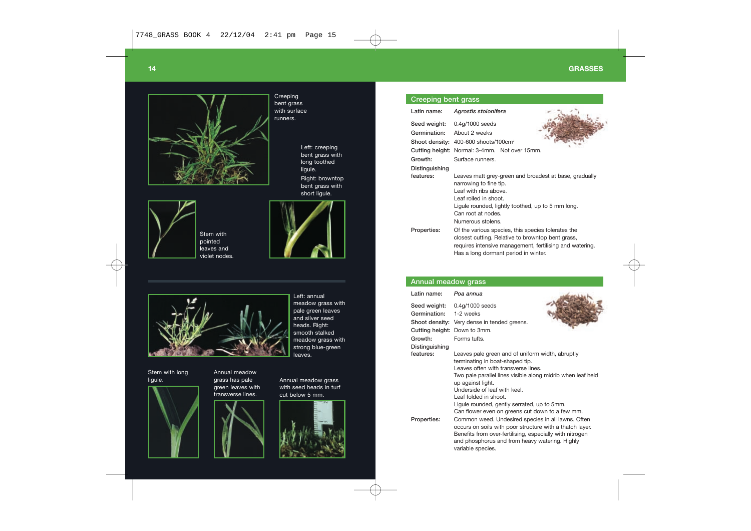



Stem with pointed leaves and violet nodes.

Creeping bent grass with surface runners.

> Left: creeping bent grass with long toothed ligule.

Right: browntop bent grass with short ligule.





Left: annual meadow grass with pale green leaves and silver seed heads. Right: smooth stalked meadow grass with strong blue-green leaves.

Stem with long ligule.



Annual meadow grass has pale green leaves with transverse lines.



Annual meadow grass with seed heads in turf cut below 5 mm.



#### **Creeping bent grass**

| Latin name:    | Agrostis stolonifera                                                                                                                                                                                                               |
|----------------|------------------------------------------------------------------------------------------------------------------------------------------------------------------------------------------------------------------------------------|
|                | Seed weight: 0.4g/1000 seeds                                                                                                                                                                                                       |
| Germination:   | About 2 weeks                                                                                                                                                                                                                      |
|                | Shoot density: 400-600 shoots/100cm <sup>2</sup>                                                                                                                                                                                   |
|                | Cutting height: Normal: 3-4mm. Not over 15mm.                                                                                                                                                                                      |
| Growth:        | Surface runners.                                                                                                                                                                                                                   |
| Distinguishing |                                                                                                                                                                                                                                    |
| features:      | Leaves matt grey-green and broadest at base, gradually<br>narrowing to fine tip.<br>Leaf with ribs above.<br>Leaf rolled in shoot.<br>Ligule rounded, lightly toothed, up to 5 mm long.<br>Can root at nodes.<br>Numerous stolens. |
| Properties:    | Of the various species, this species tolerates the<br>closest cutting. Relative to browntop bent grass,<br>requires intensive management, fertilising and watering.<br>Has a long dormant period in winter.                        |

## **Annual meadow grass**

| Latin name:                  | Poa annua                                                                                                                                                                                                                                                                                                                                                                 |
|------------------------------|---------------------------------------------------------------------------------------------------------------------------------------------------------------------------------------------------------------------------------------------------------------------------------------------------------------------------------------------------------------------------|
| Seed weight:                 | 0.4g/1000 seeds                                                                                                                                                                                                                                                                                                                                                           |
| Germination:                 | 1-2 weeks                                                                                                                                                                                                                                                                                                                                                                 |
|                              | Shoot density: Very dense in tended greens.                                                                                                                                                                                                                                                                                                                               |
| Cutting height: Down to 3mm. |                                                                                                                                                                                                                                                                                                                                                                           |
| Growth:                      | Forms tufts.                                                                                                                                                                                                                                                                                                                                                              |
| Distinguishing               |                                                                                                                                                                                                                                                                                                                                                                           |
| features:                    | Leaves pale green and of uniform width, abruptly<br>terminating in boat-shaped tip.<br>Leaves often with transverse lines.<br>Two pale parallel lines visible along midrib when leaf held<br>up against light.<br>Underside of leaf with keel.<br>Leaf folded in shoot.<br>Ligule rounded, gently serrated, up to 5mm.<br>Can flower even on greens cut down to a few mm. |
| Properties:                  | Common weed. Undesired species in all lawns. Often<br>occurs on soils with poor structure with a thatch layer.<br>Benefits from over-fertilising, especially with nitrogen<br>and phosphorus and from heavy watering. Highly<br>variable species.                                                                                                                         |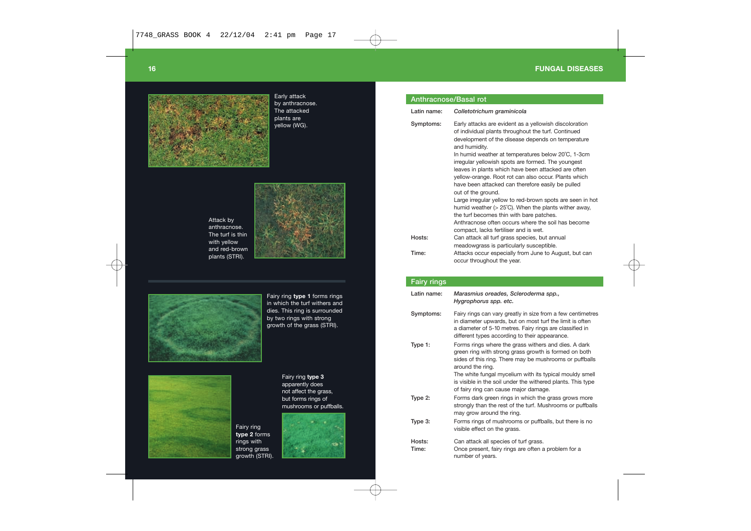

Early attack by anthracnose. The attacked plants are yellow (WG).





Fairy ring **type 1** forms rings in which the turf withers and dies. This ring is surrounded by two rings with strong growth of the grass (STRI).



Fairy ring **type 2** forms rings with strong grass growth (STRI). Fairy ring **type 3** apparently does not affect the grass, but forms rings of mushrooms or puffballs.



## **Anthracnose/Basal rot**

| Latin name: | Colletotrichum graminicola                                                                                                                                                                                                                                                                                                                                                                                                                                                                |
|-------------|-------------------------------------------------------------------------------------------------------------------------------------------------------------------------------------------------------------------------------------------------------------------------------------------------------------------------------------------------------------------------------------------------------------------------------------------------------------------------------------------|
| Symptoms:   | Early attacks are evident as a yellowish discoloration<br>of individual plants throughout the turf. Continued<br>development of the disease depends on temperature<br>and humidity.<br>In humid weather at temperatures below 20°C, 1-3cm<br>irregular yellowish spots are formed. The youngest<br>leaves in plants which have been attacked are often<br>yellow-orange. Root rot can also occur. Plants which<br>have been attacked can therefore easily be pulled<br>out of the ground. |
|             | Large irregular yellow to red-brown spots are seen in hot<br>humid weather $(>25^{\circ}C)$ . When the plants wither away,<br>the turf becomes thin with bare patches.<br>Anthracnose often occurs where the soil has become<br>compact, lacks fertiliser and is wet.                                                                                                                                                                                                                     |
| Hosts:      | Can attack all turf grass species, but annual<br>meadowgrass is particularly susceptible.                                                                                                                                                                                                                                                                                                                                                                                                 |
| Time:       | Attacks occur especially from June to August, but can<br>occur throughout the year.                                                                                                                                                                                                                                                                                                                                                                                                       |

#### **Fairy rings**

| Latin name:     | Marasmius oreades, Scleroderma spp.,<br>Hygrophorus spp. etc.                                                                                                                                                                                                                                                                                                   |
|-----------------|-----------------------------------------------------------------------------------------------------------------------------------------------------------------------------------------------------------------------------------------------------------------------------------------------------------------------------------------------------------------|
| Symptoms:       | Fairy rings can vary greatly in size from a few centimetres<br>in diameter upwards, but on most turf the limit is often<br>a diameter of 5-10 metres. Fairy rings are classified in<br>different types according to their appearance.                                                                                                                           |
| Type 1:         | Forms rings where the grass withers and dies. A dark<br>green ring with strong grass growth is formed on both<br>sides of this ring. There may be mushrooms or puffballs<br>around the ring.<br>The white fungal mycelium with its typical mouldy smell<br>is visible in the soil under the withered plants. This type<br>of fairy ring can cause major damage. |
| Type 2:         | Forms dark green rings in which the grass grows more<br>strongly than the rest of the turf. Mushrooms or puffballs<br>may grow around the ring.                                                                                                                                                                                                                 |
| Type 3:         | Forms rings of mushrooms or puffballs, but there is no<br>visible effect on the grass.                                                                                                                                                                                                                                                                          |
| Hosts:<br>Time: | Can attack all species of turf grass.<br>Once present, fairy rings are often a problem for a<br>number of years.                                                                                                                                                                                                                                                |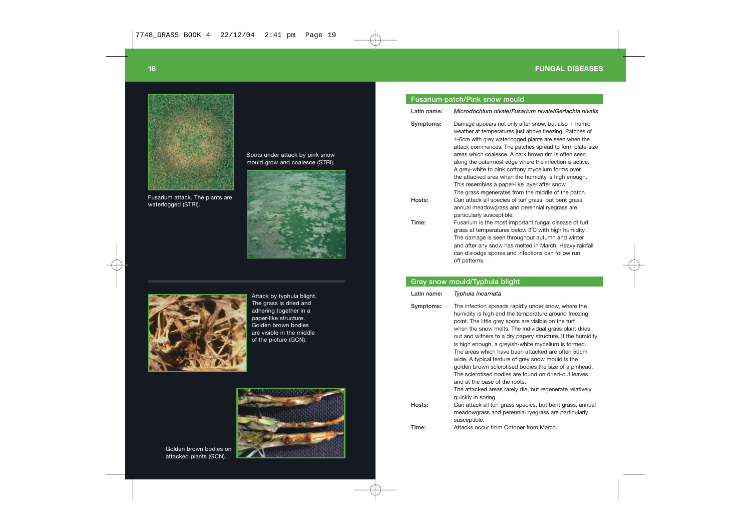

Fusarium attack. The plants are waterlogged (STRI).

Spots under attack by pink snow mould grow and coalesce (STRI).





Attack by typhula blight. The grass is dried and adhering together in a paper-like structure. Golden brown bodies are visible in the middle of the picture (GCN).



Golden brown bodies on attacked plants (GCN).

# **Fusarium patch/Pink snow mould**

| Latin name:         | Microdochium nivale/Fusarium nivale/Gerlachia nivalis                                                                                                                                                                                                                                                                                                                                                                                                                                                                                                                                                                                                                                                            |
|---------------------|------------------------------------------------------------------------------------------------------------------------------------------------------------------------------------------------------------------------------------------------------------------------------------------------------------------------------------------------------------------------------------------------------------------------------------------------------------------------------------------------------------------------------------------------------------------------------------------------------------------------------------------------------------------------------------------------------------------|
| Symptoms:<br>Hosts: | Damage appears not only after snow, but also in humid<br>weather at temperatures just above freezing. Patches of<br>4-6cm with grey waterlogged plants are seen when the<br>attack commences. The patches spread to form plate-size<br>areas which coalesce. A dark brown rim is often seen<br>along the outermost edge where the infection is active.<br>A grey-white to pink cottony mycelium forms over<br>the attacked area when the humidity is high enough.<br>This resembles a paper-like layer after snow.<br>The grass regenerates from the middle of the patch.<br>Can attack all species of turf grass, but bent grass,<br>annual meadowgrass and perennial ryegrass are<br>particularly susceptible. |
| Time:               | Fusarium is the most important fungal disease of turf<br>grass at temperatures below 3°C with high humidity.<br>The damage is seen throughout autumn and winter<br>and after any snow has melted in March. Heavy rainfall<br>can dislodge spores and infections can follow run<br>off patterns.                                                                                                                                                                                                                                                                                                                                                                                                                  |
|                     | Grey snow mould/Typhula blight                                                                                                                                                                                                                                                                                                                                                                                                                                                                                                                                                                                                                                                                                   |
| Latin name:         | Typhula incarnata                                                                                                                                                                                                                                                                                                                                                                                                                                                                                                                                                                                                                                                                                                |
| Symptoms:           | The infection spreads rapidly under snow, where the<br>humidity is high and the temperature around freezing<br>point. The little grey spots are visible on the turf                                                                                                                                                                                                                                                                                                                                                                                                                                                                                                                                              |

| Latin name: | Typhula incarnata                                                                                                                                                                                                                                                                                                                                                                                                                                                                                                                                                                                                                                                                               |
|-------------|-------------------------------------------------------------------------------------------------------------------------------------------------------------------------------------------------------------------------------------------------------------------------------------------------------------------------------------------------------------------------------------------------------------------------------------------------------------------------------------------------------------------------------------------------------------------------------------------------------------------------------------------------------------------------------------------------|
| Symptoms:   | The infection spreads rapidly under snow, where the<br>humidity is high and the temperature around freezing<br>point. The little grey spots are visible on the turf<br>when the snow melts. The individual grass plant dries<br>out and withers to a dry papery structure. If the humidity<br>is high enough, a greyish-white mycelium is formed.<br>The areas which have been attacked are often 50cm<br>wide. A typical feature of grey snow mould is the<br>golden brown sclerotised bodies the size of a pinhead.<br>The sclerotised bodies are found on dried-out leaves<br>and at the base of the roots<br>The attacked areas rarely die, but regenerate relatively<br>quickly in spring. |
| Hosts:      | Can attack all turf grass species, but bent grass, annual<br>meadowgrass and perennial ryegrass are particularly<br>susceptible.                                                                                                                                                                                                                                                                                                                                                                                                                                                                                                                                                                |
| Time:       | Attacks occur from October from March.                                                                                                                                                                                                                                                                                                                                                                                                                                                                                                                                                                                                                                                          |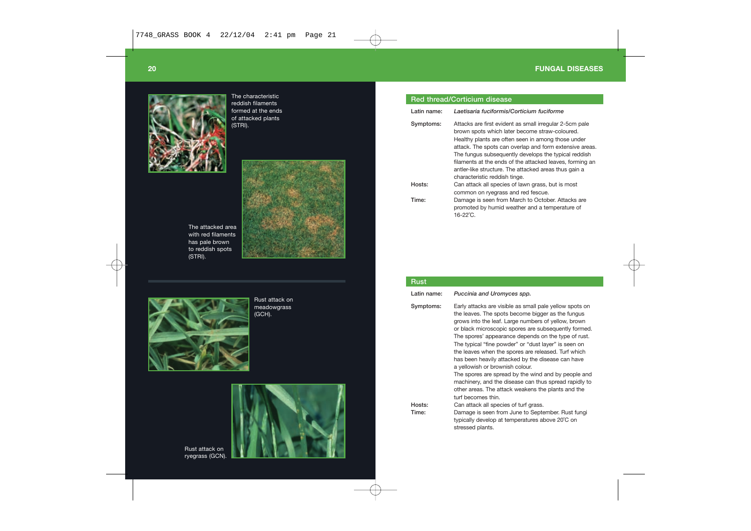

```
The characteristic
reddish filaments
formed at the ends
of attacked plants
(STRI).
```


The attacked area with red filaments has pale brown to reddish spots (STRI).



Rust attack on meadowgrass (GCH).



Rust attack on ryegrass (GCN).

# **Red thread/Corticium disease**

| Latin name: | Laetisaria fuciformis/Corticium fuciforme                                                                                                                                                                                                                                                                                                                                                                                                |
|-------------|------------------------------------------------------------------------------------------------------------------------------------------------------------------------------------------------------------------------------------------------------------------------------------------------------------------------------------------------------------------------------------------------------------------------------------------|
| Symptoms:   | Attacks are first evident as small irregular 2-5cm pale<br>brown spots which later become straw-coloured.<br>Healthy plants are often seen in among those under<br>attack. The spots can overlap and form extensive areas.<br>The fungus subsequently develops the typical reddish<br>filaments at the ends of the attacked leaves, forming an<br>antler-like structure. The attacked areas thus gain a<br>characteristic reddish tinge. |
| Hosts:      | Can attack all species of lawn grass, but is most<br>common on ryegrass and red fescue.                                                                                                                                                                                                                                                                                                                                                  |
| Time:       | Damage is seen from March to October. Attacks are<br>promoted by humid weather and a temperature of<br>$16 - 22^{\circ}$ C.                                                                                                                                                                                                                                                                                                              |

| Bust            |                                                                                                                                                                                                                                                                                                                                                                                                                                                                                                                                                                                                                                                                                       |
|-----------------|---------------------------------------------------------------------------------------------------------------------------------------------------------------------------------------------------------------------------------------------------------------------------------------------------------------------------------------------------------------------------------------------------------------------------------------------------------------------------------------------------------------------------------------------------------------------------------------------------------------------------------------------------------------------------------------|
| Latin name:     | Puccinia and Uromyces spp.                                                                                                                                                                                                                                                                                                                                                                                                                                                                                                                                                                                                                                                            |
| Symptoms:       | Early attacks are visible as small pale yellow spots on<br>the leaves. The spots become bigger as the fungus<br>grows into the leaf. Large numbers of yellow, brown<br>or black microscopic spores are subsequently formed.<br>The spores' appearance depends on the type of rust.<br>The typical "fine powder" or "dust layer" is seen on<br>the leaves when the spores are released. Turf which<br>has been heavily attacked by the disease can have<br>a yellowish or brownish colour.<br>The spores are spread by the wind and by people and<br>machinery, and the disease can thus spread rapidly to<br>other areas. The attack weakens the plants and the<br>turf becomes thin. |
| Hosts:<br>Time: | Can attack all species of turf grass.<br>Damage is seen from June to September. Rust fungi<br>typically develop at temperatures above 20°C on<br>stressed plants.                                                                                                                                                                                                                                                                                                                                                                                                                                                                                                                     |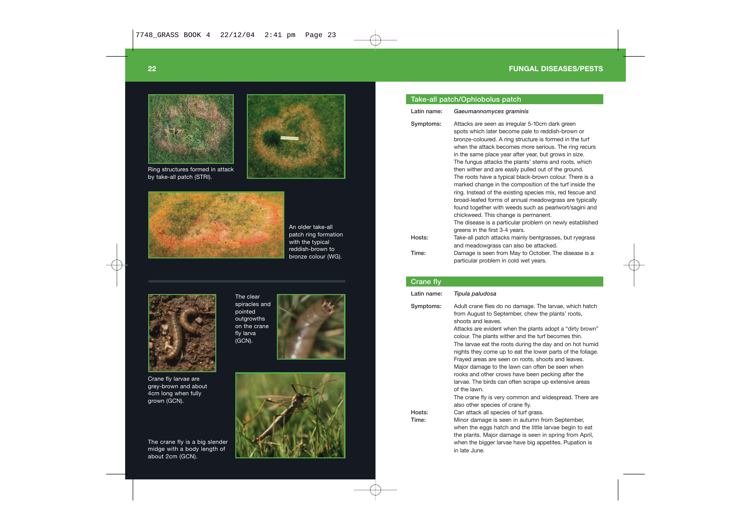



Ring structures formed in attack by take-all patch (STRI).



An older take-all patch ring formation with the typical reddish-brown to bronze colour (WG).



Crane fly larvae are grey-brown and about 4cm long when fully grown (GCN).

The crane fly is a big slender midge with a body length of about 2cm (GCN).







## **Take-all patch/Ophiobolus patch**

| Latin name:         | Gaeumannomyces graminis                                                                                                                                                                                                                                                                                                                                                                                                                                                                                                                                                                                                                                                                                                                                                                                                                                                                                    |
|---------------------|------------------------------------------------------------------------------------------------------------------------------------------------------------------------------------------------------------------------------------------------------------------------------------------------------------------------------------------------------------------------------------------------------------------------------------------------------------------------------------------------------------------------------------------------------------------------------------------------------------------------------------------------------------------------------------------------------------------------------------------------------------------------------------------------------------------------------------------------------------------------------------------------------------|
| Symptoms:<br>Hosts: | Attacks are seen as irregular 5-10cm dark green<br>spots which later become pale to reddish-brown or<br>bronze-coloured. A ring structure is formed in the turf<br>when the attack becomes more serious. The ring recurs<br>in the same place year after year, but grows in size.<br>The fungus attacks the plants' stems and roots, which<br>then wither and are easily pulled out of the ground.<br>The roots have a typical black-brown colour. There is a<br>marked change in the composition of the turf inside the<br>ring. Instead of the existing species mix, red fescue and<br>broad-leafed forms of annual meadowgrass are typically<br>found together with weeds such as pearlwort/sagini and<br>chickweed. This change is permanent.<br>The disease is a particular problem on newly established<br>greens in the first 3-4 years.<br>Take-all patch attacks mainly bentgrasses, but ryegrass |
|                     | and meadowgrass can also be attacked.                                                                                                                                                                                                                                                                                                                                                                                                                                                                                                                                                                                                                                                                                                                                                                                                                                                                      |
| Time:               | Damage is seen from May to October. The disease is a<br>particular problem in cold wet years.                                                                                                                                                                                                                                                                                                                                                                                                                                                                                                                                                                                                                                                                                                                                                                                                              |

#### **Crane fly**

**Latin name:** *Tipula paludosa* **Symptoms:** Adult crane flies do no damage. The larvae, which hatch from August to September, chew the plants' roots, shoots and leaves. Attacks are evident when the plants adopt a "dirty brown" colour. The plants wither and the turf becomes thin. The larvae eat the roots during the day and on hot humid nights they come up to eat the lower parts of the foliage. Frayed areas are seen on roots, shoots and leaves. Major damage to the lawn can often be seen when rooks and other crows have been pecking after the larvae. The birds can often scrape up extensive areas of the lawn. The crane fly is very common and widespread. There are also other species of crane fly. **Hosts:** Can attack all species of turf grass. **Time:** Minor damage is seen in autumn from September, when the eggs hatch and the little larvae begin to eat the plants. Major damage is seen in spring from April, when the bigger larvae have big appetites. Pupation is in late June.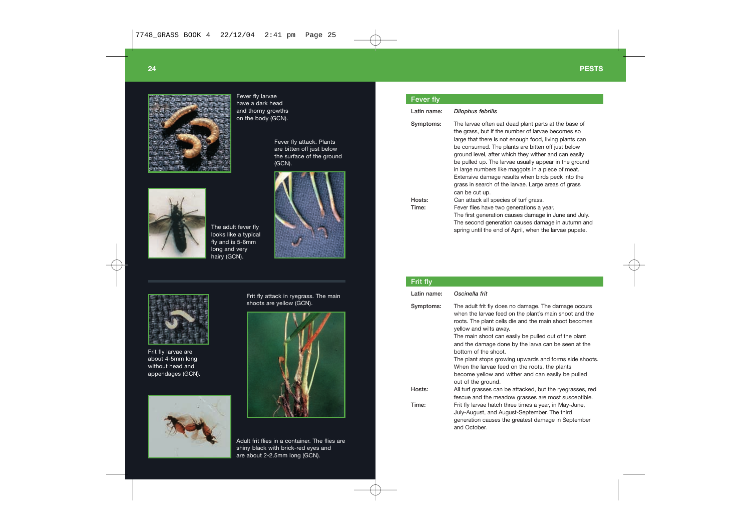

Fever fly larvae have a dark head and thorny growths on the body (GCN).

> Fever fly attack. Plants are bitten off just below the surface of the ground (GCN).



The adult fever fly looks like a typical fly and is 5-6mm long and very hairy (GCN).





Frit fly larvae are about 4-5mm long without head and appendages (GCN).



Frit fly attack in ryegrass. The main shoots are yellow (GCN).



Adult frit flies in a container. The flies are shiny black with brick-red eyes and are about 2-2.5mm long (GCN).

#### **Fever fly**

**Latin name:** *Dilophus febrilis*

**Symptoms:** The larvae often eat dead plant parts at the base of the grass, but if the number of larvae becomes so large that there is not enough food, living plants can be consumed. The plants are bitten off just below ground level, after which they wither and can easily be pulled up. The larvae usually appear in the ground in large numbers like maggots in a piece of meat. Extensive damage results when birds peck into the grass in search of the larvae. Large areas of grass can be cut up. **Hosts:** Can attack all species of turf grass. **Time:** Fever flies have two generations a year. The first generation causes damage in June and July. The second generation causes damage in autumn and spring until the end of April, when the larvae pupate.

| Frit fly     |                                                                                                                                                                                                   |
|--------------|---------------------------------------------------------------------------------------------------------------------------------------------------------------------------------------------------|
| I atin name: | Oscinella frit                                                                                                                                                                                    |
| Symptoms:    | The adult frit fly does no damage. The damage occurs<br>when the larvae feed on the plant's main shoot and the<br>roots. The plant cells die and the main shoot becomes<br>yellow and wilts away. |
|              | The main shoot can easily be pulled out of the plant<br>and the damage done by the larva can be seen at the<br>bottom of the shoot.                                                               |
|              | The plant stops growing upwards and forms side shoots.<br>When the larvae feed on the roots, the plants                                                                                           |
|              | become yellow and wither and can easily be pulled<br>out of the ground.                                                                                                                           |
| Hosts:       | All turf grasses can be attacked, but the ryegrasses, red<br>fescue and the meadow grasses are most susceptible.                                                                                  |
| Time:        | Frit fly larvae hatch three times a year, in May-June,<br>July-August, and August-September. The third<br>generation causes the greatest damage in September<br>and October.                      |